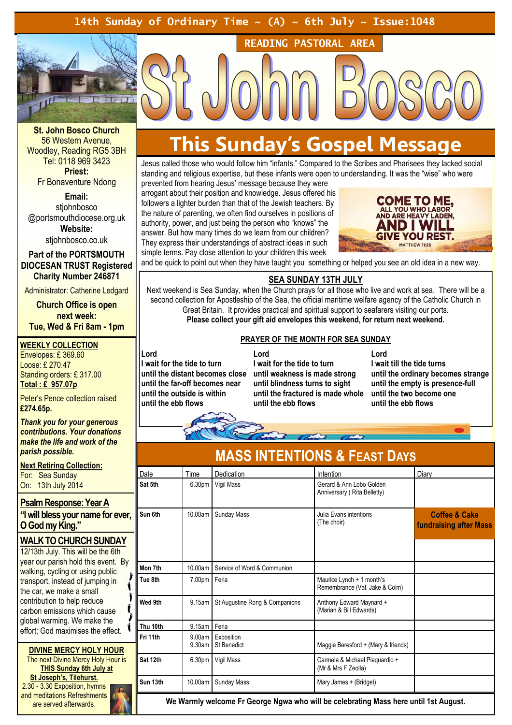# 14th Sunday of Ordinary Time  $\sim$  (A)  $\sim$  6th July  $\sim$  Issue:1048



St. John Bosco Church 56 Western Avenue, Woodley, Reading RG5 3BH Tel: 0118 969 3423 Priest:

Fr Bonaventure Ndong

Email:

stiohnbosco @portsmouthdiocese.org.uk Website:

stjohnbosco.co.uk

Part of the PORTSMOUTH DIOCESAN TRUST Registered Charity Number 246871

Administrator: Catherine Ledgard

Church Office is open next week: Tue, Wed & Fri 8am - 1pm

#### WEEKLY COLLECTION

Envelopes: £ 369.60 Loose: £ 270.47 Standing orders: £ 317.00 Total : £ 957.07p

Peter's Pence collection raised £274.65p.

Thank you for your generous contributions. Your donations make the life and work of the parish possible.

**Next Retiring Collection:** 

For: Sea Sunday On: 13th July 2014

### Psalm Response: Year A

"I will bless your name for ever, O God my King."

# WALK TO CHURCH SUNDAY

12/13th July. This will be the 6th year our parish hold this event. By walking, cycling or using public transport, instead of jumping in the car, we make a small contribution to help reduce carbon emissions which cause global warming. We make the effort; God maximises the effect.

DIVINE MERCY HOLY HOUR The next Divine Mercy Holy Hour is THIS Sunday 6th July at St Joseph's, Tilehurst. 2.30 - 3.30 Exposition, hymns and meditations Refreshments are served afterwards.

# This Sunday's Gospel Message

READING PASTORAL AREA

Jesus called those who would follow him "infants." Compared to the Scribes and Pharisees they lacked social standing and religious expertise, but these infants were open to understanding. It was the "wise" who were

prevented from hearing Jesus' message because they were arrogant about their position and knowledge. Jesus offered his followers a lighter burden than that of the Jewish teachers. By the nature of parenting, we often find ourselves in positions of authority, power, and just being the person who "knows" the answer. But how many times do we learn from our children? They express their understandings of abstract ideas in such simple terms. Pay close attention to your children this week



and be quick to point out when they have taught you something or helped you see an old idea in a new way.

# SEA SUNDAY 13TH JULY

Next weekend is Sea Sunday, when the Church prays for all those who live and work at sea. There will be a second collection for Apostleship of the Sea, the official maritime welfare agency of the Catholic Church in Great Britain. It provides practical and spiritual support to seafarers visiting our ports. Please collect your gift aid envelopes this weekend, for return next weekend.

## PRAYER OF THE MONTH FOR SEA SUNDAY

Lord

I wait for the tide to turn until the far-off becomes near until the outside is within until the ebb flows

until the distant becomes close until weakness is made strong Lord I wait for the tide to turn until blindness turns to sight until the fractured is made whole until the ebb flows

Lord I wait till the tide turns until the ordinary becomes strange until the empty is presence-full until the two become one until the ebb flows



| INIADU INTENTIUNU OFFERDI DATU |                  |                                  |                                                             |                                                           |
|--------------------------------|------------------|----------------------------------|-------------------------------------------------------------|-----------------------------------------------------------|
| Date                           | Time             | Dedication                       | Intention                                                   | Diary                                                     |
| Sat 5th                        | 6.30pm           | Vigil Mass                       | Gerard & Ann Lobo Golden<br>Anniversary (Rita Belletty)     |                                                           |
| Sun 6th                        | 10.00am          | Sunday Mass                      | Julia Evans intentions<br>(The choir)                       | <b>Coffee &amp; Cake</b><br><b>fundraising after Mass</b> |
| Mon 7th                        | 10.00am          | Service of Word & Communion      |                                                             |                                                           |
| Tue 8th                        | 7.00pm Feria     |                                  | Maurice Lynch + 1 month's<br>Remembrance (Val, Jake & Colm) |                                                           |
| Wed 9th                        | 9.15am           | St Augustine Rong & Companions   | Anthony Edward Maynard +<br>(Marian & Bill Edwards)         |                                                           |
| Thu 10th                       | 9.15am Feria     |                                  |                                                             |                                                           |
| Fri 11th                       | 9.00am<br>9.30am | Exposition<br><b>St Benedict</b> | Maggie Beresford + (Mary & friends)                         |                                                           |
| Sat 12th                       | 6.30pm           | Vigil Mass                       | Carmela & Michael Piaquardio +<br>(Mr & Mrs F Zeolla)       |                                                           |
| Sun 13th                       | 10.00am          | Sunday Mass                      | Mary James + (Bridget)                                      |                                                           |
|                                |                  |                                  |                                                             |                                                           |

# **ITENTIONS & FEAST DAVS**

We Warmly welcome Fr George Ngwa who will be celebrating Mass here until 1st August.